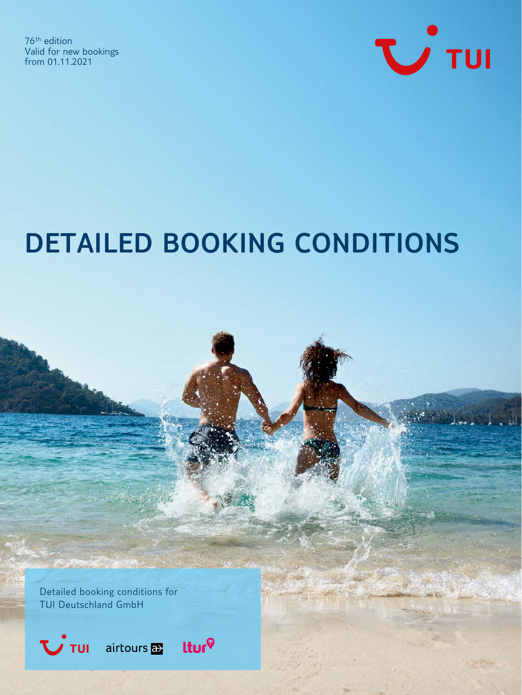76th edition Valid for new bookings from 01.11.2021



ソフボド

# **DETAILED BOOKING CONDITIONS**

Detailed booking conditions for TUI Deutschland GmbH

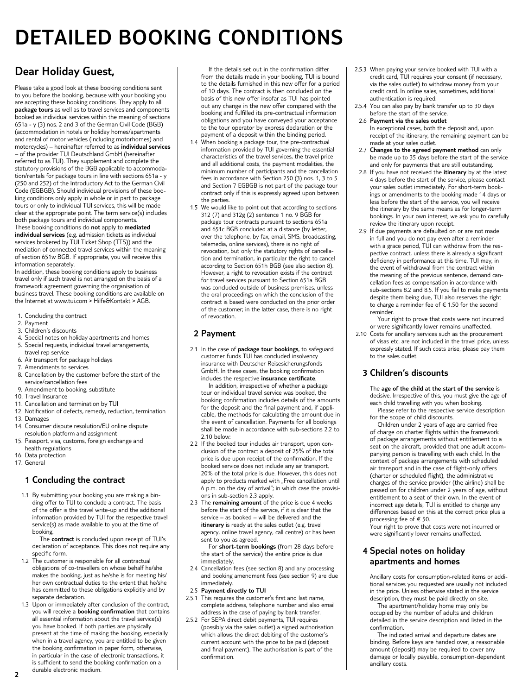# **DETAILED BOOKING CONDITIONS**

# **Dear Holiday Guest,**

Please take a good look at these booking conditions sent to you before the booking, because with your booking you are accepting these booking conditions. They apply to all **package tours** as well as to travel services and components booked as individual services within the meaning of sections 651a - y (3) nos. 2 and 3 of the German Civil Code (BGB) (accommodation in hotels or holiday homes/apartments and rental of motor vehicles (including motorhomes) and motorcycles) – hereinafter referred to as **individual services** – of the provider TUI Deutschland GmbH (hereinafter referred to as TUI). They supplement and complete the statutory provisions of the BGB applicable to accommodation/rentals for package tours in line with sections 651a - y (250 and 252) of the Introductory Act to the German Civil Code (EGBGB). Should individual provisions of these booking conditions only apply in whole or in part to package tours or only to individual TUI services, this will be made clear at the appropriate point. The term service(s) includes both package tours and individual components. These booking conditions do **not** apply to **mediated individual services** (e.g. admission tickets as individual

services brokered by TUI Ticket Shop (TTS)) and the mediation of connected travel services within the meaning of section 651w BGB. If appropriate, you will receive this information separately.

In addition, these booking conditions apply to business travel only if such travel is not arranged on the basis of a framework agreement governing the organisation of business travel. These booking conditions are available on the Internet at www.tui.com > Hilfe&Kontakt > AGB.

- 1. Concluding the contract
- 2. Payment
- 3. Children's discounts
- Special notes on holiday apartments and homes
- 5. Special requests, individual travel arrangements, travel rep service
- 6. Air transport for package holidays
- 7. Amendments to services
- 8. Cancellation by the customer before the start of the service/cancellation fees
- 9. Amendment to booking, substitute
- 10. Travel Insurance
- 11. Cancellation and termination by TUI
- 12. Notification of defects, remedy, reduction, termination 13. Damages
- 14. Consumer dispute resolution/EU online dispute
- resolution platform and assignment 15. Passport, visa, customs, foreign exchange and
- health regulations
- 16. Data protection 17. General

# **1 Concluding the contract**

1.1 By submitting your booking you are making a binding offer to TUI to conclude a contract. The basis of the offer is the travel write-up and the additional information provided by TUI for the respective travel service(s) as made available to you at the time of booking.

The **contract** is concluded upon receipt of TUI's declaration of acceptance. This does not require any specific form.

- 1.2 The customer is responsible for all contractual obligations of co-travellers on whose behalf he/she makes the booking, just as he/she is for meeting his/ her own contractual duties to the extent that he/she has committed to these obligations explicitly and by separate declaration.
- 1.3 Upon or immediately after conclusion of the contract, you will receive a **booking confirmation** that contains all essential information about the travel service(s) you have booked. If both parties are physically present at the time of making the booking, especially when in a travel agency, you are entitled to be given the booking confirmation in paper form, otherwise, in particular in the case of electronic transactions, it is sufficient to send the booking confirmation on a durable electronic medium.

If the details set out in the confirmation differ from the details made in your booking, TUI is bound to the details furnished in this new offer for a period of 10 days. The contract is then concluded on the basis of this new offer insofar as TUI has pointed out any change in the new offer compared with the booking and fulfilled its pre-contractual information obligations and you have conveyed your acceptance to the tour operator by express declaration or the payment of a deposit within the binding period.

- 1.4 When booking a package tour, the pre-contractual information provided by TUI governing the essential characteristics of the travel services, the travel price and all additional costs, the payment modalities, the minimum number of participants and the cancellation fees in accordance with Section 250 (3) nos. 1, 3 to 5 and Section 7 EGBGB is not part of the package tour contract only if this is expressly agreed upon between the parties.
- 1.5 We would like to point out that according to sections 312 (7) and 312g (2) sentence 1 no. 9 BGB for package tour contracts pursuant to sections 651a and 651c BGB concluded at a distance (by letter, over the telephone, by fax, email, SMS, broadcasting, telemedia, online services), there is no right of revocation, but only the statutory rights of cancellation and termination, in particular the right to cancel according to Section 651h BGB (see also section 8). However, a right to revocation exists if the contract for travel services pursuant to Section 651a BGB was concluded outside of business premises, unless the oral proceedings on which the conclusion of the contract is based were conducted on the prior order of the customer; in the latter case, there is no right of revocation.

# **2 Payment**

- 2.1 In the case of **package tour bookings**, to safeguard customer funds TUI has concluded insolvency insurance with Deutscher Reisesicherungsfonds GmbH. In these cases, the booking confirmation includes the respective **insurance certificate**.
	- In addition, irrespective of whether a package tour or individual travel service was booked, the booking confirmation includes details of the amounts for the deposit and the final payment and, if applicable, the methods for calculating the amount due in the event of cancellation. Payments for all bookings shall be made in accordance with sub-sections 2.2 to 2.10 below:
- 2.2 If the booked tour includes air transport, upon conclusion of the contract a deposit of 25% of the total price is due upon receipt of the confirmation. If the booked service does not include any air transport, 20% of the total price is due. However, this does not apply to products marked with "Free cancellation until 6 p.m. on the day of arrival"; in which case the provisions in sub-section 2.3 apply.
- 2.3 The **remaining amount** of the price is due 4 weeks before the start of the service, if it is clear that the service – as booked – will be delivered and the **itinerary** is ready at the sales outlet (e.g. travel agency, online travel agency, call centre) or has been sent to you as agreed.

For **short-term bookings** (from 28 days before the start of the service) the entire price is due immediately.

- 2.4 Cancellation fees (see section 8) and any processing and booking amendment fees (see section 9) are due immediately.
- 2.5 **Payment directly to TUI**
- 2.5.1 This requires the customer's first and last name, complete address, telephone number and also email address in the case of paying by bank transfer.
- 2.5.2 For SEPA direct debit payments, TUI requires (possibly via the sales outlet) a signed authorisation which allows the direct debiting of the customer's current account with the price to be paid (deposit and final payment). The authorisation is part of the confirmation.
- 2.5.3 When paying your service booked with TUI with a credit card, TUI requires your consent (if necessary, via the sales outlet) to withdraw money from your credit card. In online sales, sometimes, additional authentication is required.
- 2.5.4 You can also pay by bank transfer up to 30 days before the start of the service.
- 2.6 **Payment via the sales outlet** In exceptional cases, both the deposit and, upon receipt of the itinerary, the remaining payment can be made at your sales outlet.
- 2.7 **Changes to the agreed payment method** can only be made up to 35 days before the start of the service and only for payments that are still outstanding.
- 2.8 If you have not received the **itinerary** by at the latest 4 days before the start of the service, please contact your sales outlet immediately. For short-term bookings or amendments to the booking made 14 days or less before the start of the service, you will receive the itinerary by the same means as for longer-term bookings. In your own interest, we ask you to carefully review the itinerary upon receipt.
- 2.9 If due payments are defaulted on or are not made in full and you do not pay even after a reminder with a grace period, TUI can withdraw from the respective contract, unless there is already a significant deficiency in performance at this time. TUI may, in the event of withdrawal from the contract within the meaning of the previous sentence, demand cancellation fees as compensation in accordance with sub-sections 8.2 and 8.5. If you fail to make payments despite them being due, TUI also reserves the right to charge a reminder fee of € 1.50 for the second reminder.

Your right to prove that costs were not incurred or were significantly lower remains unaffected.

2.10 Costs for ancillary services such as the procurement of visas etc. are not included in the travel price, unless expressly stated. If such costs arise, please pay them to the sales outlet.

# **3 Children's discounts**

 The **age of the child at the start of the service** is decisive. Irrespective of this, you must give the age of each child travelling with you when booking. Please refer to the respective service description

for the scope of child discounts.

Children under 2 years of age are carried free of charge on charter flights within the framework of package arrangements without entitlement to a seat on the aircraft, provided that one adult accompanying person is travelling with each child. In the context of package arrangements with scheduled air transport and in the case of flight-only offers (charter or scheduled flight), the administrative charges of the service provider (the airline) shall be passed on for children under 2 years of age, without entitlement to a seat of their own. In the event of incorrect age details, TUI is entitled to charge any differences based on this at the correct price plus a processing fee of € 50. Your right to prove that costs were not incurred or

were significantly lower remains unaffected.

# **4 Special notes on holiday apartments and homes**

 Ancillary costs for consumption-related items or additional services you requested are usually not included in the price. Unless otherwise stated in the service description, they must be paid directly on site.

The apartment/holiday home may only be occupied by the number of adults and children detailed in the service description and listed in the confirmation.

The indicated arrival and departure dates are binding. Before keys are handed over, a reasonable amount (deposit) may be required to cover any damage or locally payable, consumption-dependent ancillary costs.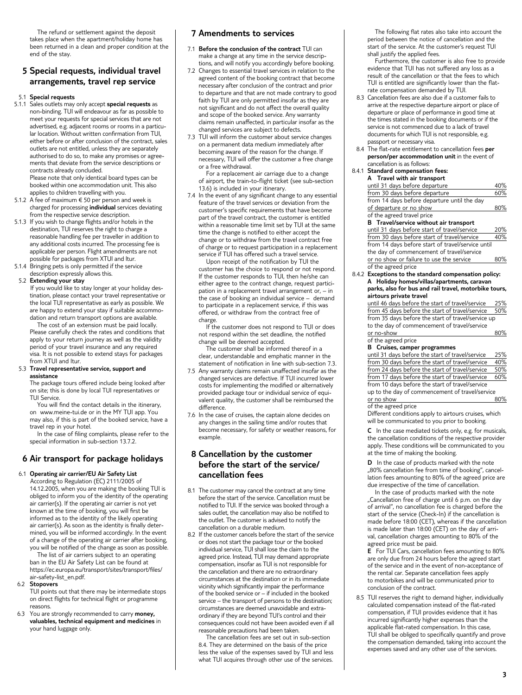The refund or settlement against the deposit takes place when the apartment/holiday home has been returned in a clean and proper condition at the end of the stay.

# **5 Special requests, individual travel arrangements, travel rep service**

#### 5.1 **Special requests**

5.1.1 Sales outlets may only accept **special requests** as non-binding. TUI will endeavour as far as possible to meet your requests for special services that are not advertised, e.g. adjacent rooms or rooms in a particular location. Without written confirmation from TUI, either before or after conclusion of the contract, sales outlets are not entitled, unless they are separately authorised to do so, to make any promises or agreements that deviate from the service descriptions or contracts already concluded. Please note that only identical board types can be

booked within one accommodation unit. This also applies to children travelling with you.

- 5.1.2 A fee of maximum € 50 per person and week is charged for processing **individual** services deviating from the respective service description.
- 5.1.3 If you wish to change flights and/or hotels in the destination, TUI reserves the right to charge a reasonable handling fee per traveller in addition to any additional costs incurred. The processing fee is applicable per person. Flight amendments are not possible for packages from XTUI and ltur.
- 5.1.4 Bringing pets is only permitted if the service description expressly allows this.

#### 5.2 **Extending your stay**

 If you would like to stay longer at your holiday destination, please contact your travel representative or the local TUI representative as early as possible. We are happy to extend your stay if suitable accommodation and return transport options are available. The cost of an extension must be paid locally.

Please carefully check the rates and conditions that apply to your return journey as well as the validity period of your travel insurance and any required visa. It is not possible to extend stays for packages from XTUI and ltur.

#### 5.3 **Travel representative service, support and assistance**

 The package tours offered include being looked after on site; this is done by local TUI representatives or TUI Service.

You will find the contact details in the itinerary, on www.meine-tui.de or in the MY TUI app. You may also, if this is part of the booked service, have a travel rep in your hotel.

In the case of filing complaints, please refer to the special information in sub-section 13.7.2.

# **6 Air transport for package holidays**

#### 6.1 **Operating air carrier/EU Air Safety List**

 According to Regulation (EC) 2111/2005 of 14.12.2005, when you are making the booking TUI is obliged to inform you of the identity of the operating air carrier(s). If the operating air carrier is not yet known at the time of booking, you will first be informed as to the identity of the likely operating air carrier(s). As soon as the identity is finally determined, you will be informed accordingly. In the event of a change of the operating air carrier after booking, you will be notified of the change as soon as possible.

The list of air carriers subject to an operating ban in the EU Air Safety List can be found at https://ec.europa.eu/transport/sites/transport/files/ air-safety-list\_en.pdf.

#### 6.2 **Stopovers**

 TUI points out that there may be intermediate stops on direct flights for technical flight or programme reasons.

 6.3 You are strongly recommended to carry **money, valuables, technical equipment and medicines** in your hand luggage only.

#### **7 Amendments to services**

- 7.1 **Before the conclusion of the contract** TUI can make a change at any time in the service descrip-
- tions, and will notify you accordingly before booking. 7.2 Changes to essential travel services in relation to the agreed content of the booking contract that become necessary after conclusion of the contract and prior to departure and that are not made contrary to good faith by TUI are only permitted insofar as they are not significant and do not affect the overall quality and scope of the booked service. Any warranty claims remain unaffected, in particular insofar as the changed services are subject to defects.
- 7.3 TUI will inform the customer about service changes on a permanent data medium immediately after becoming aware of the reason for the change. If necessary, TUI will offer the customer a free change or a free withdrawal.

For a replacement air carriage due to a change of airport, the train-to-flight ticket (see sub-section 13.6) is included in your itinerary.

7.4 In the event of any significant change to any essential feature of the travel services or deviation from the customer's specific requirements that have become part of the travel contract, the customer is entitled within a reasonable time limit set by TUI at the same time the change is notified to either accept the change or to withdraw from the travel contract free of charge or to request participation in a replacement service if TUI has offered such a travel service.

Upon receipt of the notification by TUI the customer has the choice to respond or not respond. If the customer responds to TUI, then he/she can either agree to the contract change, request participation in a replacement travel arrangement or, – in the case of booking an individual service – demand to participate in a replacement service, if this was offered, or withdraw from the contract free of charge.

If the customer does not respond to TUI or does not respond within the set deadline, the notified change will be deemed accepted.

The customer shall be informed thereof in a clear, understandable and emphatic manner in the statement of notification in line with sub-section 7.3.

- 7.5 Any warranty claims remain unaffected insofar as the changed services are defective. If TUI incurred lower costs for implementing the modified or alternatively provided package tour or individual service of equivalent quality, the customer shall be reimbursed the difference.
- 7.6 In the case of cruises, the captain alone decides on any changes in the sailing time and/or routes that become necessary, for safety or weather reasons, for example.

# **8 Cancellation by the customer before the start of the service/ cancellation fees**

- 8.1 The customer may cancel the contract at any time before the start of the service. Cancellation must be notified to TUI. If the service was booked through a sales outlet, the cancellation may also be notified to the outlet. The customer is advised to notify the cancellation on a durable medium.
- 8.2 If the customer cancels before the start of the service or does not start the package tour or the booked individual service, TUI shall lose the claim to the agreed price. Instead, TUI may demand appropriate compensation, insofar as TUI is not responsible for the cancellation and there are no extraordinary circumstances at the destination or in its immediate vicinity which significantly impair the performance of the booked service or – if included in the booked service – the transport of persons to the destination; circumstances are deemed unavoidable and extraordinary if they are beyond TUI's control and their consequences could not have been avoided even if all reasonable precautions had been taken.

The cancellation fees are set out in sub-section 8.4. They are determined on the basis of the price less the value of the expenses saved by TUI and less what TUI acquires through other use of the services.

The following flat rates also take into account the period between the notice of cancellation and the start of the service. At the customer's request TUI shall justify the applied fees.

Furthermore, the customer is also free to provide evidence that TUI has not suffered any loss as a result of the cancellation or that the fees to which TUI is entitled are significantly lower than the flatrate compensation demanded by TUI.

- 8.3 Cancellation fees are also due if a customer fails to arrive at the respective departure airport or place of departure or place of performance in good time at the times stated in the booking documents or if the service is not commenced due to a lack of travel documents for which TUI is not responsible, e.g. passport or necessary visa.
- 8.4 The flat-rate entitlement to cancellation fees **per person/per accommodation unit** in the event of cancellation is as follows:

### 8.4.1 **Standard compensation fees:**

| Travel with air transport<br>A              |     |
|---------------------------------------------|-----|
| until 31 days before departure              | 40% |
| from 30 days before departure               | 60% |
| from 14 days before departure until the day |     |
| of departure or no show                     | 80% |
| of the agreed travel price                  |     |

#### **B Travel/service without air transport**

until 31 days before start of travel/service 20% from 30 days before start of travel/service 40% from 14 days before start of travel/service until the day of commencement of travel/service or no show or failure to use the service 80% of the agreed price

8.4.2 **Exceptions to the standard compensation policy: A Holiday homes/villas/apartments, caravan parks, also for bus and rail travel, motorbike tours, airtours private travel** 

 until 46 days before the start of travel/service 25% from 45 days before the start of travel/service 50% from 35 days before the start of travel/service up to the day of commencement of travel/service or no-show 80%

 of the agreed price **B** Cruises

| o Cruises, camper programmes                     |     |
|--------------------------------------------------|-----|
| until 31 days before the start of travel/service | 25% |
| from 30 days before the start of travel/service  | 40% |
| from 24 days before the start of travel/service  | 50% |
| from 17 days before the start of travel/service  | 60% |
| from 10 days before the start of travel/service  |     |
| up to the day of commencement of travel/service  |     |
| or no show                                       |     |

#### of the agreed price

Different conditions apply to airtours cruises, which will be communicated to you prior to booking.

 **C** In the case mediated tickets only, e.g. for musicals, the cancellation conditions of the respective provider apply. These conditions will be communicated to you at the time of making the booking.

**D** In the case of products marked with the note "80% cancellation fee from time of booking", cancellation fees amounting to 80% of the agreed price are due irrespective of the time of cancellation.

In the case of products marked with the note "Cancellation free of charge until 6 p.m. on the day of arrival", no cancellation fee is charged before the start of the service (Check-In) if the cancellation is made before 18:00 (CET), whereas if the cancellation is made later than 18:00 (CET) on the day of arrival, cancellation charges amounting to 80% of the agreed price must be paid.

 **E** For TUI Cars, cancellation fees amounting to 80% are only due from 24 hours before the agreed start of the service and in the event of non-acceptance of the rental car. Separate cancellation fees apply to motorbikes and will be communicated prior to conclusion of the contract.

8.5 TUI reserves the right to demand higher, individually calculated compensation instead of the flat-rated compensation, if TUI provides evidence that it has incurred significantly higher expenses than the applicable flat-rated compensation. In this case, TUI shall be obliged to specifically quantify and prove the compensation demanded, taking into account the expenses saved and any other use of the services.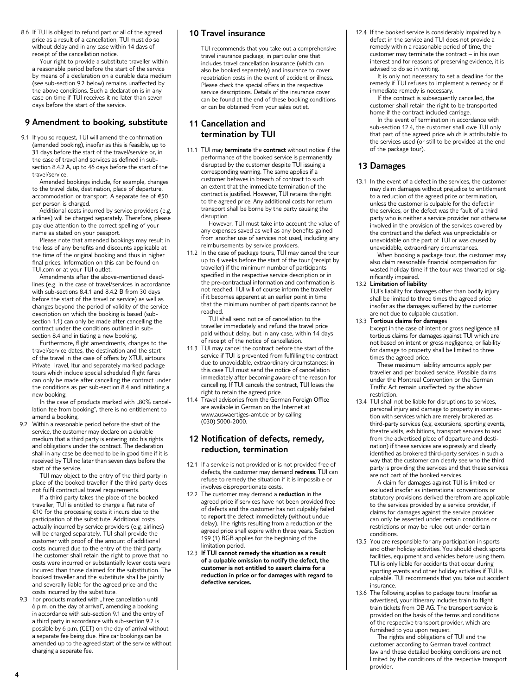8.6 If TUI is obliged to refund part or all of the agreed price as a result of a cancellation, TUI must do so without delay and in any case within 14 days of receipt of the cancellation notice.

Your right to provide a substitute traveller within a reasonable period before the start of the service by means of a declaration on a durable data medium (see sub-section 9.2 below) remains unaffected by the above conditions. Such a declaration is in any case on time if TUI receives it no later than seven days before the start of the service.

# **9 Amendment to booking, substitute**

9.1 If you so request, TUI will amend the confirmation (amended booking), insofar as this is feasible, up to 31 days before the start of the travel/service or, in the case of travel and services as defined in subsection 8.4.2 A, up to 46 days before the start of the travel/service.

Amended bookings include, for example, changes to the travel date, destination, place of departure, accommodation or transport. A separate fee of €50 per person is charged.

Additional costs incurred by service providers (e.g. airlines) will be charged separately. Therefore, please pay due attention to the correct spelling of your name as stated on your passport.

Please note that amended bookings may result in the loss of any benefits and discounts applicable at the time of the original booking and thus in higher final prices. Information on this can be found on TUI.com or at your TUI outlet.

Amendments after the above-mentioned deadlines (e.g. in the case of travel/services in accordance with sub-sections 8.4.1 and 8.4.2 B from 30 days before the start of the travel or service) as well as changes beyond the period of validity of the service description on which the booking is based (subsection 1.1) can only be made after cancelling the contract under the conditions outlined in subsection 8.4 and initiating a new booking.

Furthermore, flight amendments, changes to the travel/service dates, the destination and the start of the travel in the case of offers by XTUI, airtours Private Travel, ltur and separately marked package tours which include special scheduled flight fares can only be made after cancelling the contract under the conditions as per sub-section 8.4 and initiating a new booking.

In the case of products marked with "80% cancellation fee from booking", there is no entitlement to amend a booking.

 9.2 Within a reasonable period before the start of the service, the customer may declare on a durable medium that a third party is entering into his rights and obligations under the contract. The declaration shall in any case be deemed to be in good time if it is received by TUI no later than seven days before the start of the service.

TUI may object to the entry of the third party in place of the booked traveller if the third party does not fulfil contractual travel requirements.

If a third party takes the place of the booked traveller, TUI is entitled to charge a flat rate of €10 for the processing costs it incurs due to the participation of the substitute. Additional costs actually incurred by service providers (e.g. airlines) will be charged separately. TUI shall provide the customer with proof of the amount of additional costs incurred due to the entry of the third party. The customer shall retain the right to prove that no costs were incurred or substantially lower costs were incurred than those claimed for the substitution. The booked traveller and the substitute shall be jointly and severally liable for the agreed price and the costs incurred by the substitute.

9.3 For products marked with "Free cancellation until 6 p.m. on the day of arrival", amending a booking in accordance with sub-section 9.1 and the entry of a third party in accordance with sub-section 9.2 is possible by 6 p.m. (CET) on the day of arrival without a separate fee being due. Hire car bookings can be amended up to the agreed start of the service without charging a separate fee.

# **10 Travel insurance**

 TUI recommends that you take out a comprehensive travel insurance package, in particular one that includes travel cancellation insurance (which can also be booked separately) and insurance to cover repatriation costs in the event of accident or illness. Please check the special offers in the respective service descriptions. Details of the insurance cover can be found at the end of these booking conditions or can be obtained from your sales outlet.

# **11 Cancellation and termination by TUI**

11.1 TUI may **terminate** the **contract** without notice if the performance of the booked service is permanently disrupted by the customer despite TUI issuing a corresponding warning. The same applies if a customer behaves in breach of contract to such an extent that the immediate termination of the contract is justified. However, TUI retains the right to the agreed price. Any additional costs for return transport shall be borne by the party causing the disruption.

However, TUI must take into account the value of any expenses saved as well as any benefits gained from another use of services not used, including any reimbursements by service providers.

11.2 In the case of package tours, TUI may cancel the tour up to 4 weeks before the start of the tour (receipt by traveller) if the minimum number of participants specified in the respective service description or in the pre-contractual information and confirmation is not reached. TUI will of course inform the traveller if it becomes apparent at an earlier point in time that the minimum number of participants cannot be reached.

TUI shall send notice of cancellation to the traveller immediately and refund the travel price paid without delay, but in any case, within 14 days of receipt of the notice of cancellation.

- 11.3 TUI may cancel the contract before the start of the service if TUI is prevented from fulfilling the contract due to unavoidable, extraordinary circumstances; in this case TUI must send the notice of cancellation immediately after becoming aware of the reason for cancelling. If TUI cancels the contract, TUI loses the right to retain the agreed price.
- 11.4 Travel advisories from the German Foreign Office are available in German on the Internet at www.auswaertiges-amt.de or by calling (030) 5000-2000.

# **12 Notification of defects, remedy, reduction, termination**

- 12.1 If a service is not provided or is not provided free of defects, the customer may demand **redress**. TUI can refuse to remedy the situation if it is impossible or involves disproportionate costs.
- 12.2 The customer may demand a **reduction** in the agreed price if services have not been provided free of defects and the customer has not culpably failed to **report** the defect immediately (without undue delay). The rights resulting from a reduction of the agreed price shall expire within three years. Section 199 (1) BGB applies for the beginning of the limitation period.
- 12.3 **If TUI cannot remedy the situation as a result of a culpable omission to notify the defect, the customer is not entitled to assert claims for a reduction in price or for damages with regard to defective services.**

12.4 If the booked service is considerably impaired by a defect in the service and TUI does not provide a remedy within a reasonable period of time, the customer may terminate the contract – in his own interest and for reasons of preserving evidence, it is advised to do so in writing.

It is only not necessary to set a deadline for the remedy if TUI refuses to implement a remedy or if immediate remedy is necessary.

If the contract is subsequently cancelled, the customer shall retain the right to be transported home if the contract included carriage.

In the event of termination in accordance with sub-section 12.4, the customer shall owe TUI only that part of the agreed price which is attributable to the services used (or still to be provided at the end of the package tour).

# **13 Damages**

13.1 In the event of a defect in the services, the customer may claim damages without prejudice to entitlement to a reduction of the agreed price or termination, unless the customer is culpable for the defect in the services, or the defect was the fault of a third party who is neither a service provider nor otherwise involved in the provision of the services covered by the contract and the defect was unpredictable or unavoidable on the part of TUI or was caused by unavoidable, extraordinary circumstances.

When booking a package tour, the customer may also claim reasonable financial compensation for wasted holiday time if the tour was thwarted or significantly impaired.

13.2 **Limitation of liability**

 TUI's liability for damages other than bodily injury shall be limited to three times the agreed price insofar as the damages suffered by the customer are not due to culpable causation.

#### 13.3 **Tortious claims for damage**s

 Except in the case of intent or gross negligence all tortious claims for damages against TUI which are not based on intent or gross negligence, or liability for damage to property shall be limited to three times the agreed price.

These maximum liability amounts apply per traveller and per booked service. Possible claims under the Montreal Convention or the German Traffic Act remain unaffected by the above restriction.

13.4 TUI shall not be liable for disruptions to services, personal injury and damage to property in connection with services which are merely brokered as third-party services (e.g. excursions, sporting events, theatre visits, exhibitions, transport services to and from the advertised place of departure and destination) if these services are expressly and clearly identified as brokered third-party services in such a way that the customer can clearly see who the third party is providing the services and that these services are not part of the booked services.

A claim for damages against TUI is limited or excluded insofar as international conventions or statutory provisions derived therefrom are applicable to the services provided by a service provider, if claims for damages against the service provider can only be asserted under certain conditions or restrictions or may be ruled out under certain conditions.

- 13.5 You are responsible for any participation in sports and other holiday activities. You should check sports facilities, equipment and vehicles before using them. TUI is only liable for accidents that occur during sporting events and other holiday activities if TUI is culpable. TUI recommends that you take out accident insurance.
- 13.6 The following applies to package tours: Insofar as advertised, your itinerary includes train to flight train tickets from DB AG. The transport service is provided on the basis of the terms and conditions of the respective transport provider, which are furnished to you upon request.

The rights and obligations of TUI and the customer according to German travel contract law and these detailed booking conditions are not limited by the conditions of the respective transport provider.